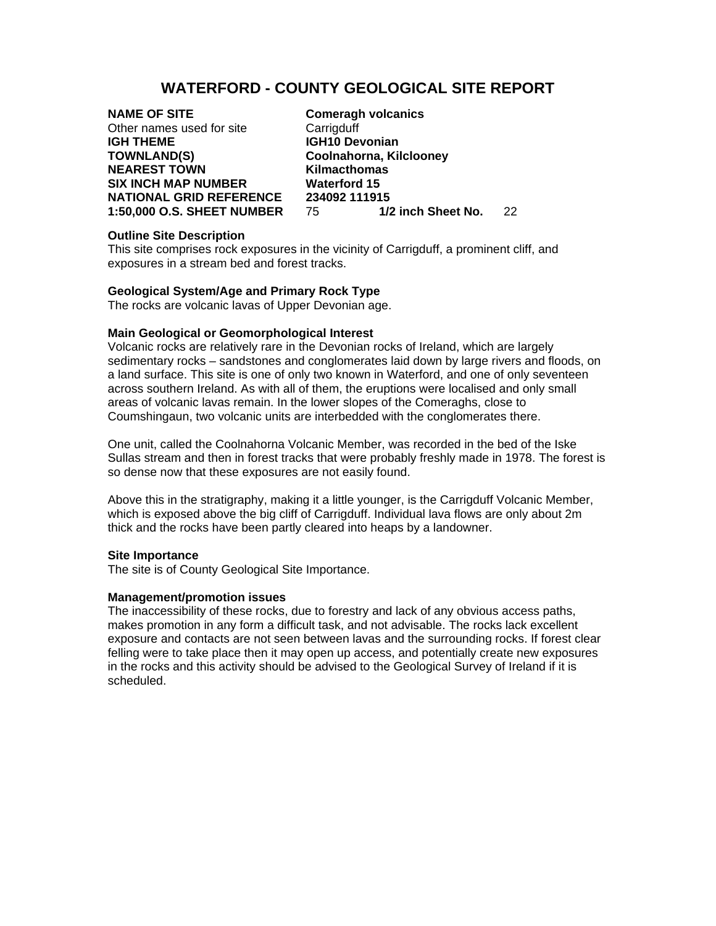# **WATERFORD - COUNTY GEOLOGICAL SITE REPORT**

**NAME OF SITE Comeragh volcanics** Other names used for site Carrigduff **IGH THEME IGH10 Devonian TOWNLAND(S) Coolnahorna, Kilclooney NEAREST TOWN Kilmacthomas SIX INCH MAP NUMBER Waterford 15 NATIONAL GRID REFERENCE 234092 111915** 

**1:50,000 O.S. SHEET NUMBER** 75 **1/2 inch Sheet No.** 22

#### **Outline Site Description**

This site comprises rock exposures in the vicinity of Carrigduff, a prominent cliff, and exposures in a stream bed and forest tracks.

### **Geological System/Age and Primary Rock Type**

The rocks are volcanic lavas of Upper Devonian age.

#### **Main Geological or Geomorphological Interest**

Volcanic rocks are relatively rare in the Devonian rocks of Ireland, which are largely sedimentary rocks – sandstones and conglomerates laid down by large rivers and floods, on a land surface. This site is one of only two known in Waterford, and one of only seventeen across southern Ireland. As with all of them, the eruptions were localised and only small areas of volcanic lavas remain. In the lower slopes of the Comeraghs, close to Coumshingaun, two volcanic units are interbedded with the conglomerates there.

One unit, called the Coolnahorna Volcanic Member, was recorded in the bed of the Iske Sullas stream and then in forest tracks that were probably freshly made in 1978. The forest is so dense now that these exposures are not easily found.

Above this in the stratigraphy, making it a little younger, is the Carrigduff Volcanic Member, which is exposed above the big cliff of Carrigduff. Individual lava flows are only about 2m thick and the rocks have been partly cleared into heaps by a landowner.

#### **Site Importance**

The site is of County Geological Site Importance.

## **Management/promotion issues**

The inaccessibility of these rocks, due to forestry and lack of any obvious access paths, makes promotion in any form a difficult task, and not advisable. The rocks lack excellent exposure and contacts are not seen between lavas and the surrounding rocks. If forest clear felling were to take place then it may open up access, and potentially create new exposures in the rocks and this activity should be advised to the Geological Survey of Ireland if it is scheduled.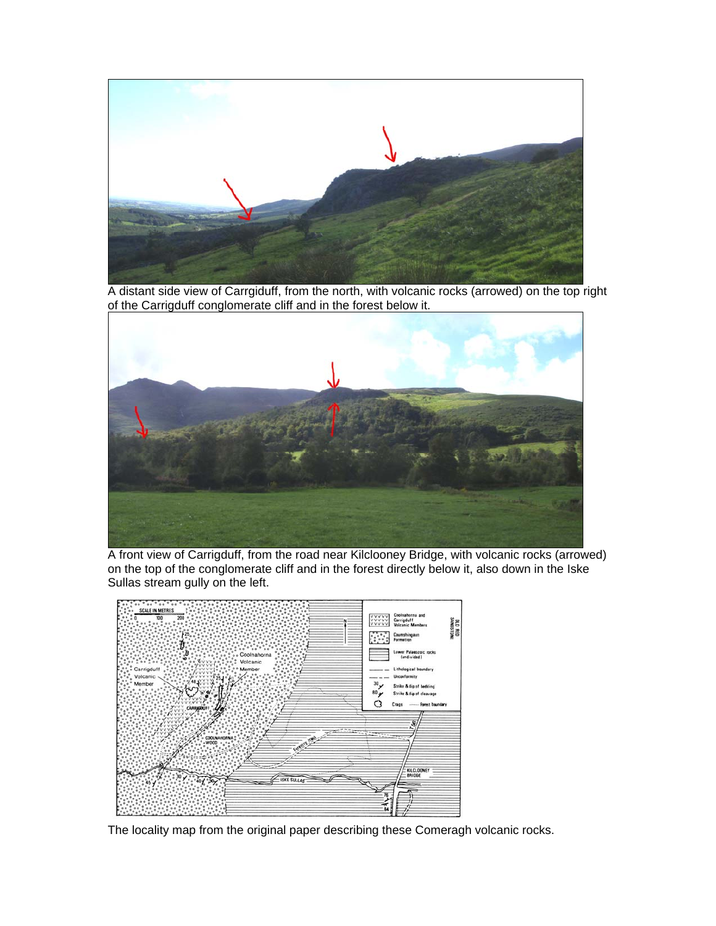

A distant side view of Carrgiduff, from the north, with volcanic rocks (arrowed) on the top right of the Carrigduff conglomerate cliff and in the forest below it.



A front view of Carrigduff, from the road near Kilclooney Bridge, with volcanic rocks (arrowed) on the top of the conglomerate cliff and in the forest directly below it, also down in the Iske Sullas stream gully on the left.



The locality map from the original paper describing these Comeragh volcanic rocks.